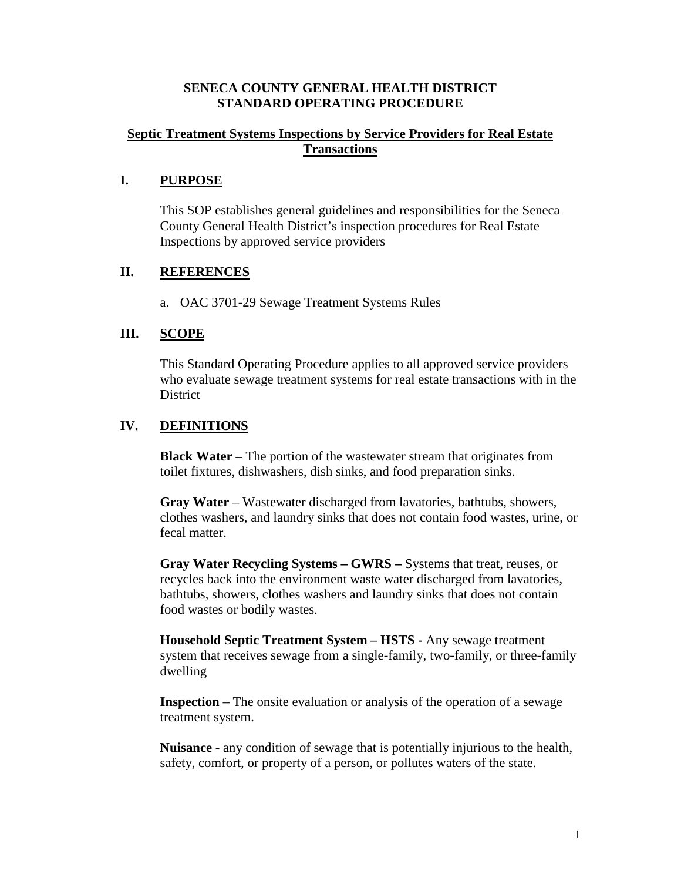#### **SENECA COUNTY GENERAL HEALTH DISTRICT STANDARD OPERATING PROCEDURE**

### **Septic Treatment Systems Inspections by Service Providers for Real Estate Transactions**

# **I. PURPOSE**

This SOP establishes general guidelines and responsibilities for the Seneca County General Health District's inspection procedures for Real Estate Inspections by approved service providers

# **II. REFERENCES**

a. OAC 3701-29 Sewage Treatment Systems Rules

# **III. SCOPE**

This Standard Operating Procedure applies to all approved service providers who evaluate sewage treatment systems for real estate transactions with in the **District** 

# **IV. DEFINITIONS**

**Black Water** – The portion of the wastewater stream that originates from toilet fixtures, dishwashers, dish sinks, and food preparation sinks.

**Gray Water** – Wastewater discharged from lavatories, bathtubs, showers, clothes washers, and laundry sinks that does not contain food wastes, urine, or fecal matter.

**Gray Water Recycling Systems – GWRS –** Systems that treat, reuses, or recycles back into the environment waste water discharged from lavatories, bathtubs, showers, clothes washers and laundry sinks that does not contain food wastes or bodily wastes.

**Household Septic Treatment System – HSTS -** Any sewage treatment system that receives sewage from a single-family, two-family, or three-family dwelling

**Inspection** – The onsite evaluation or analysis of the operation of a sewage treatment system.

**Nuisance** - any condition of sewage that is potentially injurious to the health, safety, comfort, or property of a person, or pollutes waters of the state.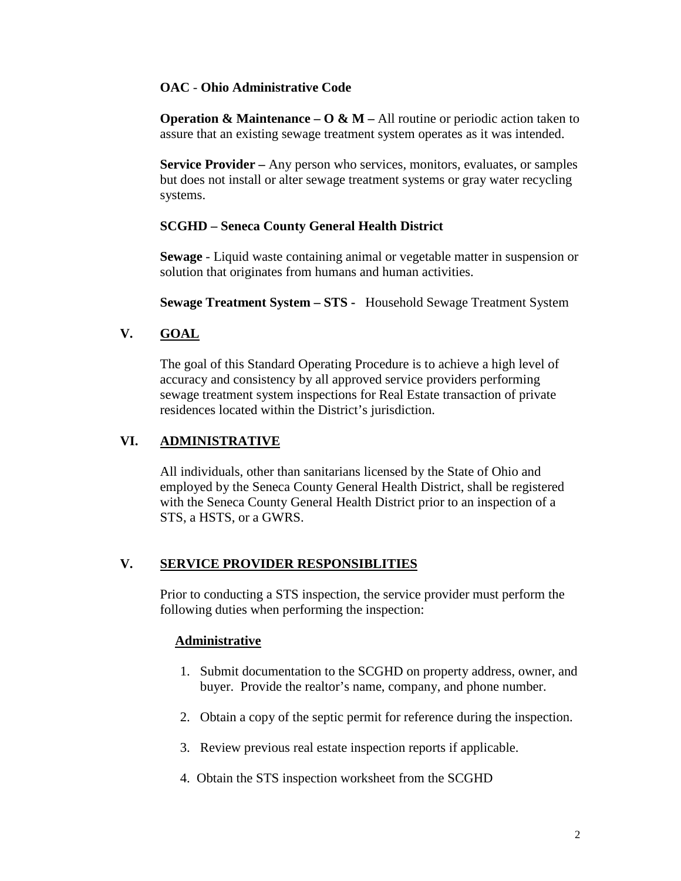# **OAC** - **Ohio Administrative Code**

**Operation & Maintenance – O & M –** All routine or periodic action taken to assure that an existing sewage treatment system operates as it was intended.

**Service Provider –** Any person who services, monitors, evaluates, or samples but does not install or alter sewage treatment systems or gray water recycling systems.

# **SCGHD – Seneca County General Health District**

**Sewage** - Liquid waste containing animal or vegetable matter in suspension or solution that originates from humans and human activities.

**Sewage Treatment System – STS -** Household Sewage Treatment System

# **V. GOAL**

The goal of this Standard Operating Procedure is to achieve a high level of accuracy and consistency by all approved service providers performing sewage treatment system inspections for Real Estate transaction of private residences located within the District's jurisdiction.

# **VI. ADMINISTRATIVE**

All individuals, other than sanitarians licensed by the State of Ohio and employed by the Seneca County General Health District, shall be registered with the Seneca County General Health District prior to an inspection of a STS, a HSTS, or a GWRS.

# **V. SERVICE PROVIDER RESPONSIBLITIES**

Prior to conducting a STS inspection, the service provider must perform the following duties when performing the inspection:

#### **Administrative**

- 1. Submit documentation to the SCGHD on property address, owner, and buyer. Provide the realtor's name, company, and phone number.
- 2. Obtain a copy of the septic permit for reference during the inspection.
- 3. Review previous real estate inspection reports if applicable.
- 4. Obtain the STS inspection worksheet from the SCGHD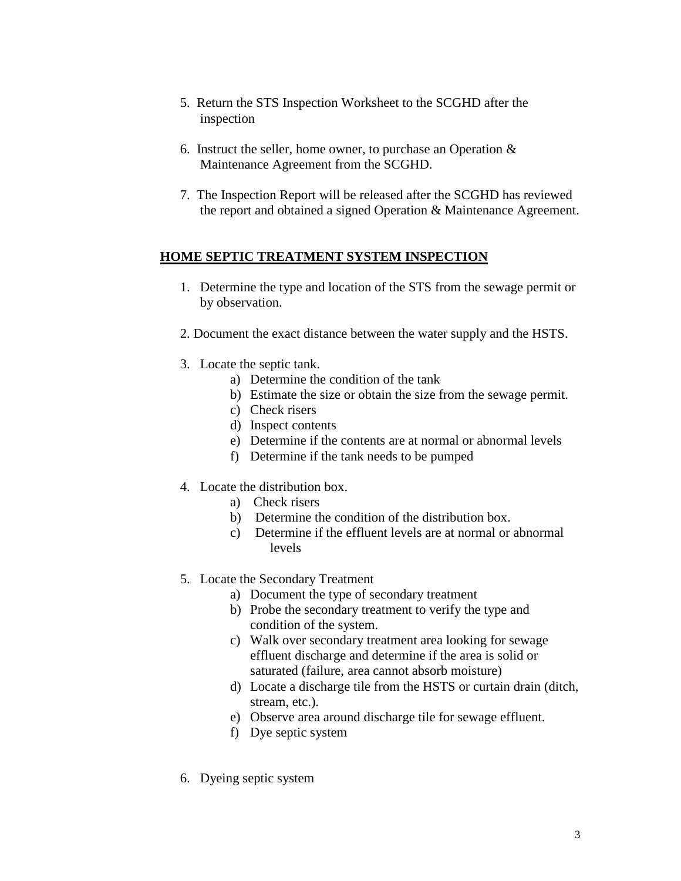- 5. Return the STS Inspection Worksheet to the SCGHD after the inspection
- 6. Instruct the seller, home owner, to purchase an Operation & Maintenance Agreement from the SCGHD.
- 7. The Inspection Report will be released after the SCGHD has reviewed the report and obtained a signed Operation & Maintenance Agreement.

# **HOME SEPTIC TREATMENT SYSTEM INSPECTION**

- 1. Determine the type and location of the STS from the sewage permit or by observation.
- 2. Document the exact distance between the water supply and the HSTS.
- 3. Locate the septic tank.
	- a) Determine the condition of the tank
	- b) Estimate the size or obtain the size from the sewage permit.
	- c) Check risers
	- d) Inspect contents
	- e) Determine if the contents are at normal or abnormal levels
	- f) Determine if the tank needs to be pumped
- 4. Locate the distribution box.
	- a) Check risers
	- b) Determine the condition of the distribution box.
	- c) Determine if the effluent levels are at normal or abnormal levels
- 5. Locate the Secondary Treatment
	- a) Document the type of secondary treatment
	- b) Probe the secondary treatment to verify the type and condition of the system.
	- c) Walk over secondary treatment area looking for sewage effluent discharge and determine if the area is solid or saturated (failure, area cannot absorb moisture)
	- d) Locate a discharge tile from the HSTS or curtain drain (ditch, stream, etc.).
	- e) Observe area around discharge tile for sewage effluent.
	- f) Dye septic system
- 6. Dyeing septic system